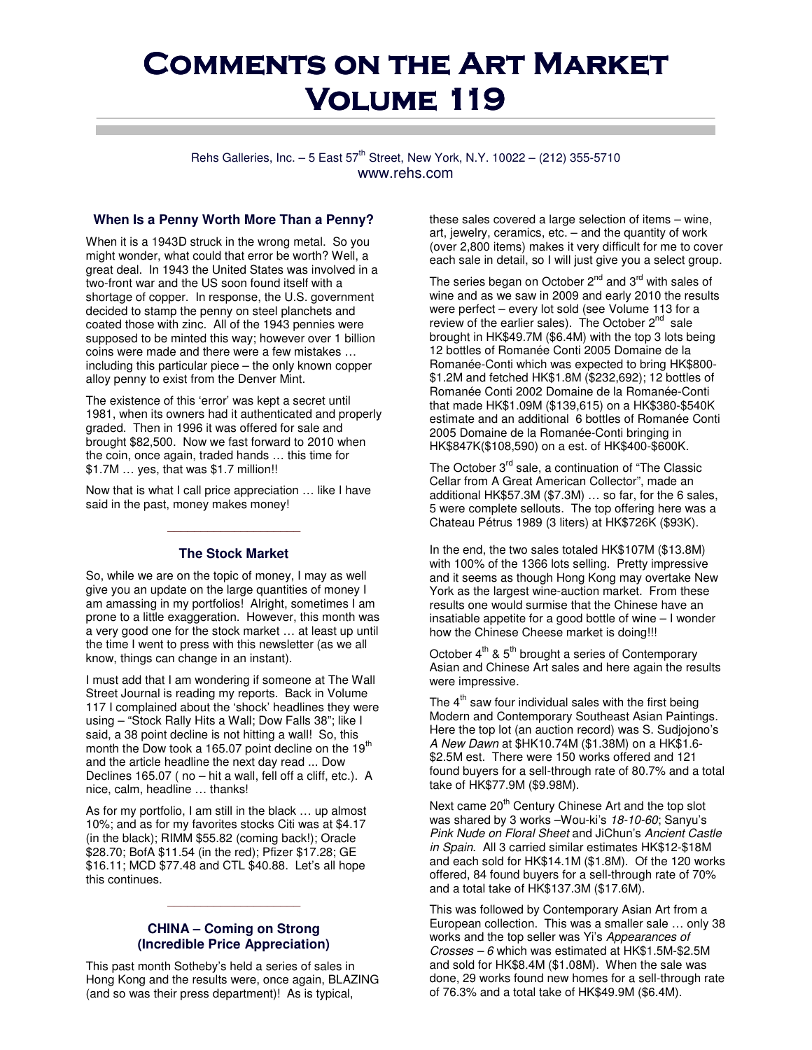# **COMMENTS ON THE ART MARKET VOLUME 119**

Rehs Galleries, Inc.  $-5$  East  $57^{th}$  Street, New York, N.Y. 10022 – (212) 355-5710 www.rehs.com

#### **When Is a Penny Worth More Than a Penny?**

When it is a 1943D struck in the wrong metal. So you might wonder, what could that error be worth? Well, a great deal. In 1943 the United States was involved in a two-front war and the US soon found itself with a shortage of copper. In response, the U.S. government decided to stamp the penny on steel planchets and coated those with zinc. All of the 1943 pennies were supposed to be minted this way; however over 1 billion coins were made and there were a few mistakes … including this particular piece – the only known copper alloy penny to exist from the Denver Mint.

The existence of this 'error' was kept a secret until 1981, when its owners had it authenticated and properly graded. Then in 1996 it was offered for sale and brought \$82,500. Now we fast forward to 2010 when the coin, once again, traded hands … this time for \$1.7M … yes, that was \$1.7 million!!

Now that is what I call price appreciation … like I have said in the past, money makes money!

#### **The Stock Market**

\_\_\_\_\_\_\_\_\_\_\_\_\_\_\_\_\_\_\_\_

So, while we are on the topic of money, I may as well give you an update on the large quantities of money I am amassing in my portfolios! Alright, sometimes I am prone to a little exaggeration. However, this month was a very good one for the stock market … at least up until the time I went to press with this newsletter (as we all know, things can change in an instant).

I must add that I am wondering if someone at The Wall Street Journal is reading my reports. Back in Volume 117 I complained about the 'shock' headlines they were using – "Stock Rally Hits a Wall; Dow Falls 38"; like I said, a 38 point decline is not hitting a wall! So, this month the Dow took a 165.07 point decline on the  $19<sup>th</sup>$ and the article headline the next day read ... Dow Declines 165.07 ( no – hit a wall, fell off a cliff, etc.). A nice, calm, headline … thanks!

As for my portfolio, I am still in the black … up almost 10%; and as for my favorites stocks Citi was at \$4.17 (in the black); RIMM \$55.82 (coming back!); Oracle \$28.70; BofA \$11.54 (in the red); Pfizer \$17.28; GE \$16.11; MCD \$77.48 and CTL \$40.88. Let's all hope this continues.

## **CHINA – Coming on Strong (Incredible Price Appreciation)**

\_\_\_\_\_\_\_\_\_\_\_\_\_\_\_\_\_\_\_\_

This past month Sotheby's held a series of sales in Hong Kong and the results were, once again, BLAZING (and so was their press department)! As is typical,

these sales covered a large selection of items – wine, art, jewelry, ceramics, etc. – and the quantity of work (over 2,800 items) makes it very difficult for me to cover each sale in detail, so I will just give you a select group.

The series began on October  $2^{nd}$  and  $3^{rd}$  with sales of wine and as we saw in 2009 and early 2010 the results were perfect – every lot sold (see Volume 113 for a review of the earlier sales). The October 2<sup>nd</sup> sale brought in HK\$49.7M (\$6.4M) with the top 3 lots being 12 bottles of Romanée Conti 2005 Domaine de la Romanée-Conti which was expected to bring HK\$800- \$1.2M and fetched HK\$1.8M (\$232,692); 12 bottles of Romanée Conti 2002 Domaine de la Romanée-Conti that made HK\$1.09M (\$139,615) on a HK\$380-\$540K estimate and an additional 6 bottles of Romanée Conti 2005 Domaine de la Romanée-Conti bringing in HK\$847K(\$108,590) on a est. of HK\$400-\$600K.

The October 3<sup>rd</sup> sale, a continuation of "The Classic Cellar from A Great American Collector", made an additional HK\$57.3M (\$7.3M) … so far, for the 6 sales, 5 were complete sellouts. The top offering here was a Chateau Pétrus 1989 (3 liters) at HK\$726K (\$93K).

In the end, the two sales totaled HK\$107M (\$13.8M) with 100% of the 1366 lots selling. Pretty impressive and it seems as though Hong Kong may overtake New York as the largest wine-auction market. From these results one would surmise that the Chinese have an insatiable appetite for a good bottle of wine – I wonder how the Chinese Cheese market is doing!!!

October  $4^{th}$  &  $5^{th}$  brought a series of Contemporary Asian and Chinese Art sales and here again the results were impressive.

The  $4<sup>th</sup>$  saw four individual sales with the first being Modern and Contemporary Southeast Asian Paintings. Here the top lot (an auction record) was S. Sudjojono's A New Dawn at \$HK10.74M (\$1.38M) on a HK\$1.6- \$2.5M est. There were 150 works offered and 121 found buyers for a sell-through rate of 80.7% and a total take of HK\$77.9M (\$9.98M).

Next came  $20<sup>th</sup>$  Century Chinese Art and the top slot was shared by 3 works -Wou-ki's 18-10-60; Sanyu's Pink Nude on Floral Sheet and JiChun's Ancient Castle in Spain. All 3 carried similar estimates HK\$12-\$18M and each sold for HK\$14.1M (\$1.8M). Of the 120 works offered, 84 found buyers for a sell-through rate of 70% and a total take of HK\$137.3M (\$17.6M).

This was followed by Contemporary Asian Art from a European collection. This was a smaller sale … only 38 works and the top seller was Yi's Appearances of Crosses – 6 which was estimated at HK\$1.5M-\$2.5M and sold for HK\$8.4M (\$1.08M). When the sale was done, 29 works found new homes for a sell-through rate of 76.3% and a total take of HK\$49.9M (\$6.4M).